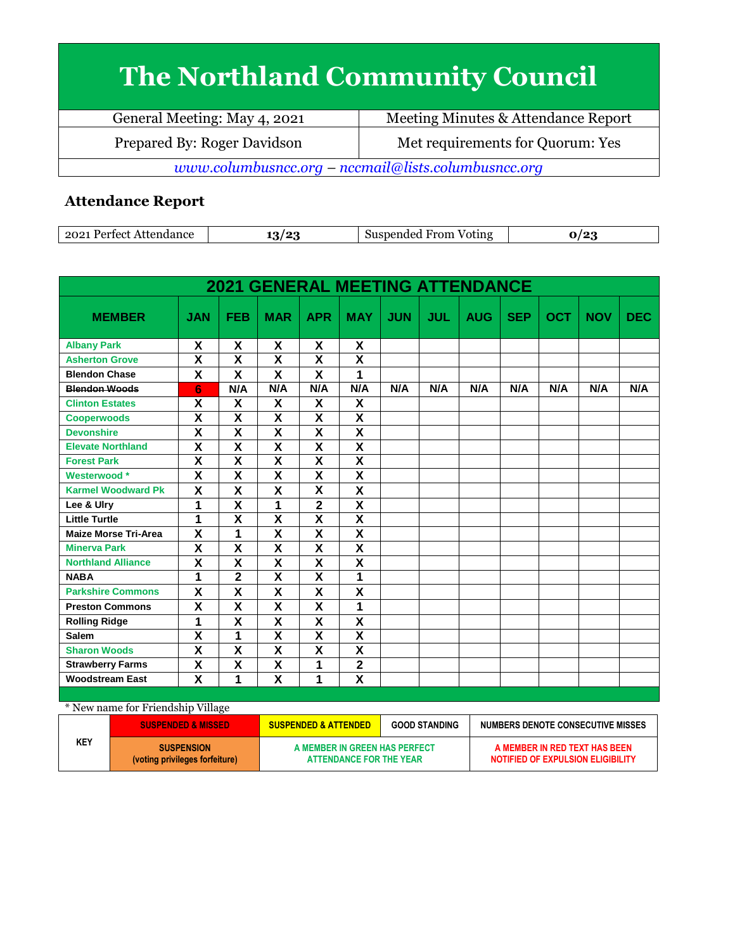## **The Northland Community Council**

| General Meeting: May 4, 2021                          | Meeting Minutes & Attendance Report |  |  |  |
|-------------------------------------------------------|-------------------------------------|--|--|--|
| Prepared By: Roger Davidson                           | Met requirements for Quorum: Yes    |  |  |  |
| $www.columbusncc.org - nccmail@lists.columbusncc.org$ |                                     |  |  |  |

## **Attendance Report**

| $202^*$<br>Perfect Attendance | ، ص | From<br>Suspended<br>Voting<br>5115 |  |
|-------------------------------|-----|-------------------------------------|--|

|                             |                           |                           | <b>2021 GENERAL MEETING ATTENDANCE</b> |                         |                         |            |            |            |            |            |            |            |
|-----------------------------|---------------------------|---------------------------|----------------------------------------|-------------------------|-------------------------|------------|------------|------------|------------|------------|------------|------------|
| <b>MEMBER</b>               | <b>JAN</b>                | <b>FEB</b>                | <b>MAR</b>                             | <b>APR</b>              | <b>MAY</b>              | <b>JUN</b> | <b>JUL</b> | <b>AUG</b> | <b>SEP</b> | <b>OCT</b> | <b>NOV</b> | <b>DEC</b> |
| <b>Albany Park</b>          | X                         | X                         | X                                      | X                       | X                       |            |            |            |            |            |            |            |
| <b>Asherton Grove</b>       | X                         | X                         | X                                      | X                       | X                       |            |            |            |            |            |            |            |
| <b>Blendon Chase</b>        | $\pmb{\mathsf{X}}$        | X                         | X                                      | X                       | 1                       |            |            |            |            |            |            |            |
| <b>Blendon Woods</b>        | 6                         | N/A                       | N/A                                    | N/A                     | N/A                     | N/A        | N/A        | N/A        | N/A        | N/A        | N/A        | N/A        |
| <b>Clinton Estates</b>      | X                         | X                         | X                                      | X                       | X                       |            |            |            |            |            |            |            |
| <b>Cooperwoods</b>          | $\boldsymbol{\mathsf{X}}$ | $\boldsymbol{\mathsf{X}}$ | X                                      | $\pmb{\mathsf{X}}$      | $\overline{\mathsf{x}}$ |            |            |            |            |            |            |            |
| <b>Devonshire</b>           | X                         | X                         | X                                      | X                       | $\overline{\mathsf{x}}$ |            |            |            |            |            |            |            |
| <b>Elevate Northland</b>    | $\overline{\mathsf{x}}$   | $\overline{\mathsf{x}}$   | $\overline{\mathsf{x}}$                | $\overline{\mathbf{x}}$ | $\overline{\mathsf{x}}$ |            |            |            |            |            |            |            |
| <b>Forest Park</b>          | $\pmb{\mathsf{X}}$        | X                         | $\overline{\mathsf{x}}$                | X                       | X                       |            |            |            |            |            |            |            |
| Westerwood *                | $\overline{\mathbf{x}}$   | X                         | $\overline{\mathbf{x}}$                | X                       | $\overline{\mathsf{x}}$ |            |            |            |            |            |            |            |
| <b>Karmel Woodward Pk</b>   | X                         | X                         | X                                      | X                       | X                       |            |            |            |            |            |            |            |
| Lee & Ulry                  | 1                         | $\overline{\mathbf{x}}$   | 1                                      | $\mathbf{2}$            | $\overline{\mathsf{x}}$ |            |            |            |            |            |            |            |
| <b>Little Turtle</b>        | 1                         | $\overline{\mathsf{x}}$   | $\overline{\mathbf{x}}$                | $\overline{\mathbf{x}}$ | $\overline{\mathsf{x}}$ |            |            |            |            |            |            |            |
| <b>Maize Morse Tri-Area</b> | X                         | 1                         | X                                      | $\overline{\mathbf{x}}$ | $\overline{\mathsf{x}}$ |            |            |            |            |            |            |            |
| <b>Minerva Park</b>         | $\overline{\mathbf{x}}$   | $\overline{\mathsf{x}}$   | $\overline{\mathsf{x}}$                | $\overline{\mathbf{x}}$ | $\overline{\mathsf{x}}$ |            |            |            |            |            |            |            |
| <b>Northland Alliance</b>   | X                         | $\boldsymbol{\mathsf{X}}$ | $\boldsymbol{\mathsf{X}}$              | X                       | X                       |            |            |            |            |            |            |            |
| <b>NABA</b>                 | 1                         | $\overline{2}$            | $\overline{\mathsf{x}}$                | $\overline{\mathbf{x}}$ | 1                       |            |            |            |            |            |            |            |
| <b>Parkshire Commons</b>    | X                         | X                         | X                                      | X                       | X                       |            |            |            |            |            |            |            |
| <b>Preston Commons</b>      | X                         | X                         | X                                      | X                       | 1                       |            |            |            |            |            |            |            |
| <b>Rolling Ridge</b>        | 1                         | $\overline{\mathbf{X}}$   | $\overline{\mathbf{x}}$                | $\overline{\mathbf{X}}$ | $\overline{\mathbf{X}}$ |            |            |            |            |            |            |            |
| <b>Salem</b>                | X                         | 1                         | X                                      | X                       | X                       |            |            |            |            |            |            |            |
| <b>Sharon Woods</b>         | $\overline{\mathbf{X}}$   | $\overline{\mathsf{x}}$   | $\overline{\mathsf{x}}$                | X                       | $\overline{\mathsf{x}}$ |            |            |            |            |            |            |            |
| <b>Strawberry Farms</b>     | X                         | X                         | $\overline{\mathsf{x}}$                | 1                       | $\overline{2}$          |            |            |            |            |            |            |            |
| <b>Woodstream East</b>      | X                         | 1                         | X                                      | 1                       | $\overline{\mathsf{x}}$ |            |            |            |            |            |            |            |

| * New name for Friendship Village |                                                     |                                                          |                      |                                                                    |
|-----------------------------------|-----------------------------------------------------|----------------------------------------------------------|----------------------|--------------------------------------------------------------------|
|                                   | <b>SUSPENDED &amp; MISSED</b>                       | <b>SUSPENDED &amp; ATTENDED</b>                          | <b>GOOD STANDING</b> | NUMBERS DENOTE CONSECUTIVE MISSES                                  |
| KEY                               | <b>SUSPENSION</b><br>(voting privileges forfeiture) | A MEMBER IN GREEN HAS PERFECT<br>ATTENDANCE FOR THE YEAR |                      | A MEMBER IN RED TEXT HAS BEEN<br>NOTIFIED OF EXPULSION ELIGIBILITY |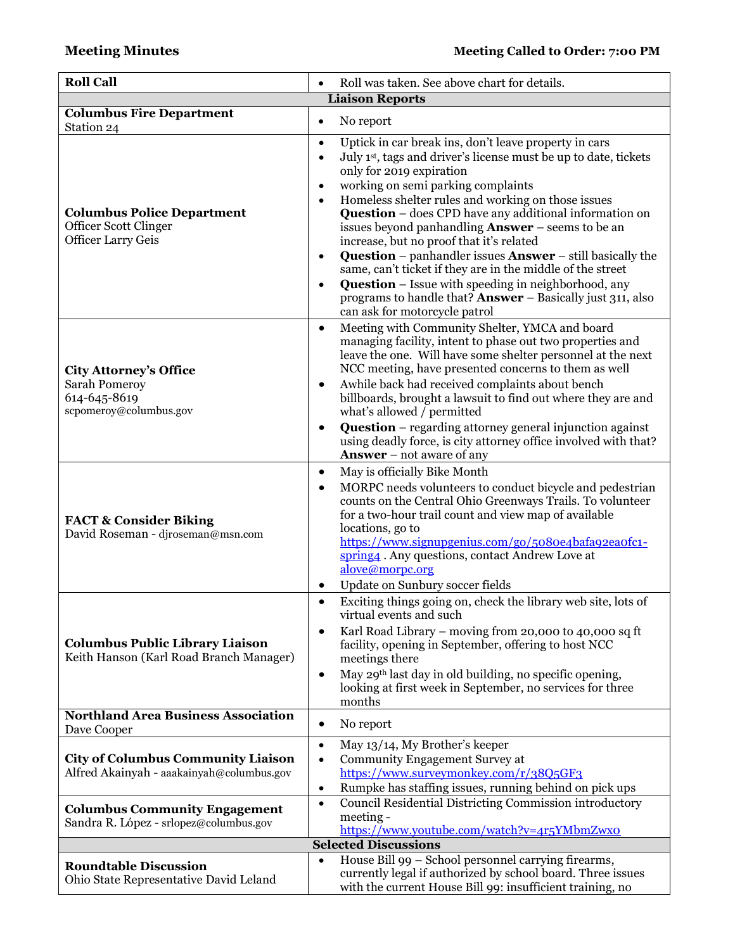| <b>Roll Call</b>                                                                                                               | Roll was taken. See above chart for details.<br>$\bullet$                                                                                                                                                                                                                                                                                                                                                                                                                                                                                                                                                                                                                                                                                                                                                                         |  |  |  |  |
|--------------------------------------------------------------------------------------------------------------------------------|-----------------------------------------------------------------------------------------------------------------------------------------------------------------------------------------------------------------------------------------------------------------------------------------------------------------------------------------------------------------------------------------------------------------------------------------------------------------------------------------------------------------------------------------------------------------------------------------------------------------------------------------------------------------------------------------------------------------------------------------------------------------------------------------------------------------------------------|--|--|--|--|
| <b>Liaison Reports</b>                                                                                                         |                                                                                                                                                                                                                                                                                                                                                                                                                                                                                                                                                                                                                                                                                                                                                                                                                                   |  |  |  |  |
| <b>Columbus Fire Department</b><br>Station 24                                                                                  | No report<br>$\bullet$                                                                                                                                                                                                                                                                                                                                                                                                                                                                                                                                                                                                                                                                                                                                                                                                            |  |  |  |  |
| <b>Columbus Police Department</b><br>Officer Scott Clinger<br><b>Officer Larry Geis</b>                                        | Uptick in car break ins, don't leave property in cars<br>$\bullet$<br>July 1 <sup>st</sup> , tags and driver's license must be up to date, tickets<br>$\bullet$<br>only for 2019 expiration<br>working on semi parking complaints<br>$\bullet$<br>Homeless shelter rules and working on those issues<br>$\bullet$<br><b>Question</b> – does CPD have any additional information on<br>issues beyond panhandling <b>Answer</b> – seems to be an<br>increase, but no proof that it's related<br><b>Question</b> – panhandler issues $\bf{Answer}$ – still basically the<br>$\bullet$<br>same, can't ticket if they are in the middle of the street<br><b>Question</b> – Issue with speeding in neighborhood, any<br>$\bullet$<br>programs to handle that? <b>Answer</b> – Basically just 311, also<br>can ask for motorcycle patrol |  |  |  |  |
| <b>City Attorney's Office</b><br>Sarah Pomeroy<br>614-645-8619<br>scpomeroy@columbus.gov                                       | Meeting with Community Shelter, YMCA and board<br>$\bullet$<br>managing facility, intent to phase out two properties and<br>leave the one. Will have some shelter personnel at the next<br>NCC meeting, have presented concerns to them as well<br>Awhile back had received complaints about bench<br>$\bullet$<br>billboards, brought a lawsuit to find out where they are and<br>what's allowed / permitted<br><b>Question</b> – regarding attorney general injunction against<br>$\bullet$<br>using deadly force, is city attorney office involved with that?<br><b>Answer</b> – not aware of any                                                                                                                                                                                                                              |  |  |  |  |
| <b>FACT &amp; Consider Biking</b><br>David Roseman - djroseman@msn.com                                                         | May is officially Bike Month<br>$\bullet$<br>MORPC needs volunteers to conduct bicycle and pedestrian<br>$\bullet$<br>counts on the Central Ohio Greenways Trails. To volunteer<br>for a two-hour trail count and view map of available<br>locations, go to<br>https://www.signupgenius.com/go/5080e4bafa92ea0fc1-<br>spring4. Any questions, contact Andrew Love at<br>alove@morpc.org<br>Update on Sunbury soccer fields<br>٠                                                                                                                                                                                                                                                                                                                                                                                                   |  |  |  |  |
| <b>Columbus Public Library Liaison</b><br>Keith Hanson (Karl Road Branch Manager)                                              | Exciting things going on, check the library web site, lots of<br>$\bullet$<br>virtual events and such<br>Karl Road Library - moving from 20,000 to 40,000 sq ft<br>$\bullet$<br>facility, opening in September, offering to host NCC<br>meetings there<br>May 29th last day in old building, no specific opening,<br>$\bullet$<br>looking at first week in September, no services for three<br>months                                                                                                                                                                                                                                                                                                                                                                                                                             |  |  |  |  |
| <b>Northland Area Business Association</b>                                                                                     | No report<br>$\bullet$                                                                                                                                                                                                                                                                                                                                                                                                                                                                                                                                                                                                                                                                                                                                                                                                            |  |  |  |  |
| Dave Cooper                                                                                                                    |                                                                                                                                                                                                                                                                                                                                                                                                                                                                                                                                                                                                                                                                                                                                                                                                                                   |  |  |  |  |
| <b>City of Columbus Community Liaison</b><br>Alfred Akainyah - aaakainyah@columbus.gov<br><b>Columbus Community Engagement</b> | May 13/14, My Brother's keeper<br>$\bullet$<br><b>Community Engagement Survey at</b><br>$\bullet$<br>https://www.surveymonkey.com/r/38Q5GF3<br>Rumpke has staffing issues, running behind on pick ups<br>$\bullet$<br>Council Residential Districting Commission introductory<br>$\bullet$                                                                                                                                                                                                                                                                                                                                                                                                                                                                                                                                        |  |  |  |  |
| Sandra R. López - srlopez@columbus.gov                                                                                         | meeting -<br>https://www.youtube.com/watch?v=4r5YMbmZwx0                                                                                                                                                                                                                                                                                                                                                                                                                                                                                                                                                                                                                                                                                                                                                                          |  |  |  |  |
| <b>Selected Discussions</b>                                                                                                    |                                                                                                                                                                                                                                                                                                                                                                                                                                                                                                                                                                                                                                                                                                                                                                                                                                   |  |  |  |  |
| <b>Roundtable Discussion</b><br>Ohio State Representative David Leland                                                         | House Bill 99 - School personnel carrying firearms,<br>$\bullet$<br>currently legal if authorized by school board. Three issues<br>with the current House Bill 99: insufficient training, no                                                                                                                                                                                                                                                                                                                                                                                                                                                                                                                                                                                                                                      |  |  |  |  |